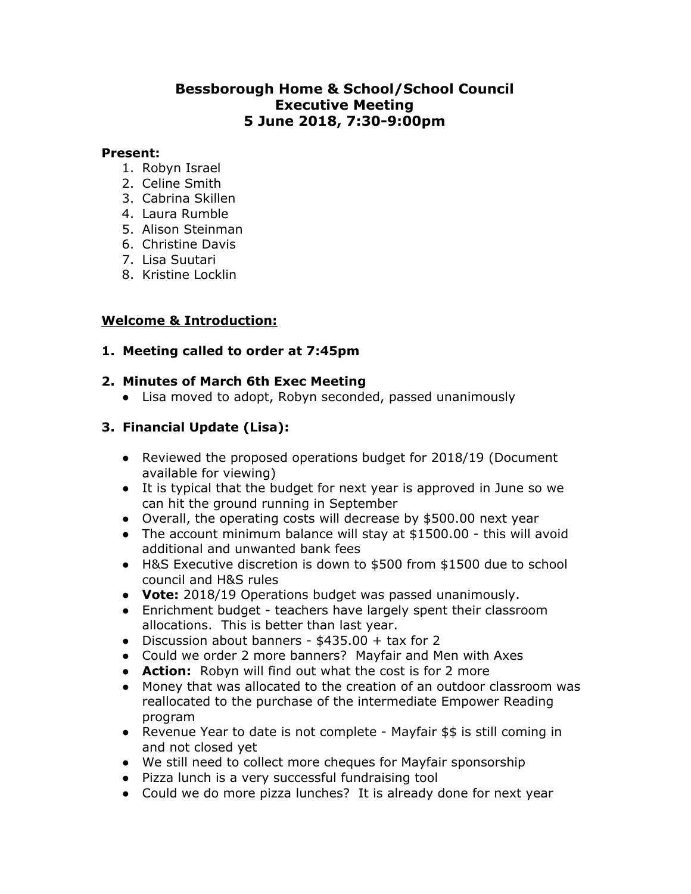# **Bessborough Home & School/School Council Executive Meeting 5 June 2018, 7:30-9:00pm**

#### **Present:**

- 1. Robyn Israel
- 2. Celine Smith
- 3. Cabrina Skillen
- 4. Laura Rumble
- 5. Alison Steinman
- 6. Christine Davis
- 7. Lisa Suutari
- 8. Kristine Locklin

## **Welcome & Introduction:**

## **1. Meeting called to order at 7:45pm**

## **2. Minutes of March 6th Exec Meeting**

● Lisa moved to adopt, Robyn seconded, passed unanimously

# **3. Financial Update (Lisa):**

- Reviewed the proposed operations budget for 2018/19 (Document available for viewing)
- It is typical that the budget for next year is approved in June so we can hit the ground running in September
- Overall, the operating costs will decrease by \$500.00 next year
- The account minimum balance will stay at \$1500.00 this will avoid additional and unwanted bank fees
- H&S Executive discretion is down to \$500 from \$1500 due to school council and H&S rules
- **Vote:** 2018/19 Operations budget was passed unanimously.
- Enrichment budget teachers have largely spent their classroom allocations. This is better than last year.
- Discussion about banners \$435.00 + tax for 2
- Could we order 2 more banners? Mayfair and Men with Axes
- **Action:** Robyn will find out what the cost is for 2 more
- Money that was allocated to the creation of an outdoor classroom was reallocated to the purchase of the intermediate Empower Reading program
- Revenue Year to date is not complete Mayfair \$\$ is still coming in and not closed yet
- We still need to collect more cheques for Mayfair sponsorship
- Pizza lunch is a very successful fundraising tool
- Could we do more pizza lunches? It is already done for next year